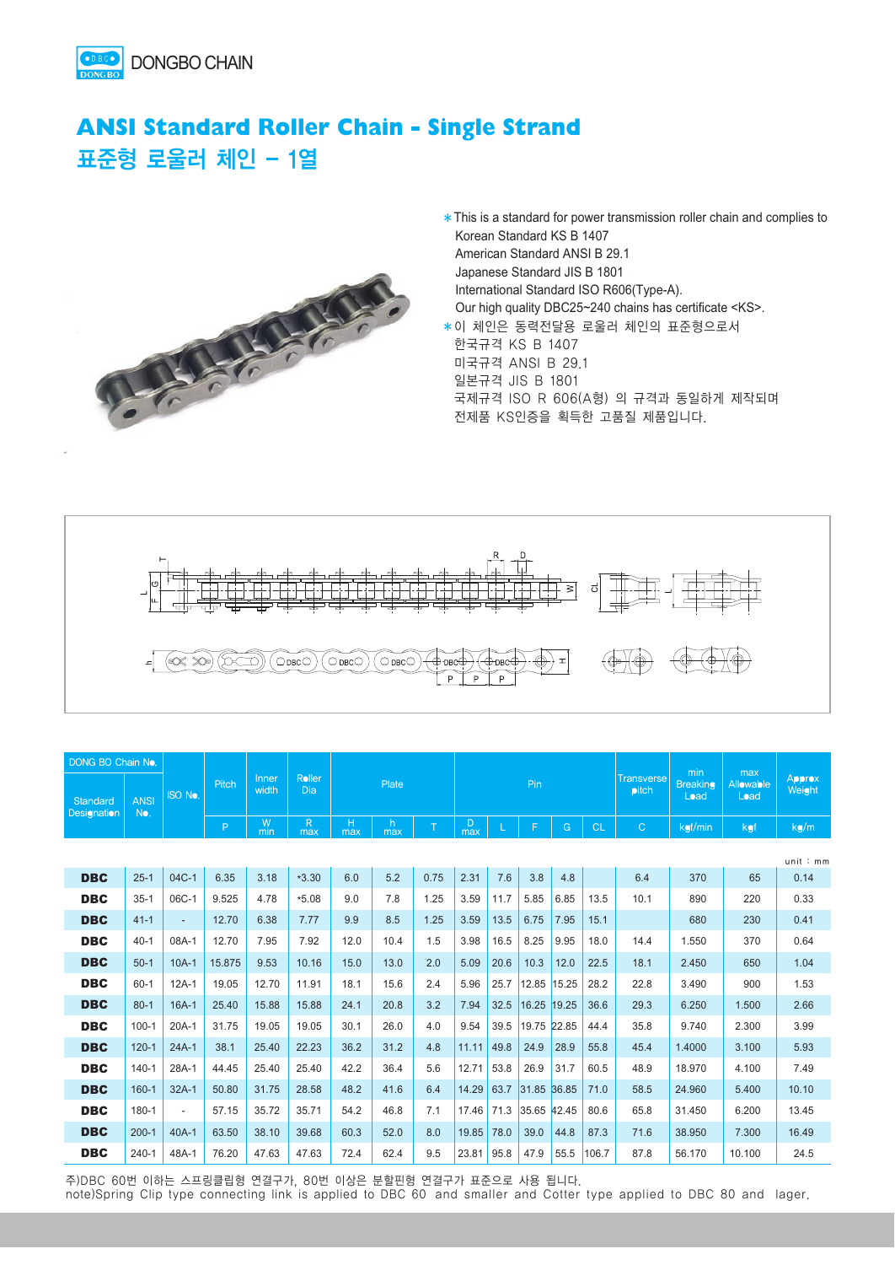

## **ANSI Standard Roller Chain - Single Strand**  표준형 로울러 체인 - 1열



\* This is a standard for power transmission roller chain and complies to Korean Standard KS B 1407 American Standard ANSI B 29.1 Japanese Standard JIS B 1801 International Standard ISO R606(Type-A). Our high quality DBC25~240 chains has certificate <KS>. �이 체인은 동력전달용 로울러 체인의 표준형으로서

한국규격 KS B 1407 미국규격 ANSI B 29.1 일본규격 JIS B 1801 국제규격 ISO R 606(A형) 의 규격과 동일하게 제작되며 전제품 KS인증을 획득한 고품질 제품입니다.



| DONG BO Chain No.       |                    |                          |        |                |               |          |          |      |          |      |             |       |           |                                   | min                     | max               |                         |
|-------------------------|--------------------|--------------------------|--------|----------------|---------------|----------|----------|------|----------|------|-------------|-------|-----------|-----------------------------------|-------------------------|-------------------|-------------------------|
| Standard<br>Designation | <b>ANSI</b><br>No. | <b>ISO No.</b>           | Pitch  | Inner<br>width | Roller<br>Dia | Plate    |          |      |          |      | Pin         |       |           | <b>Transverse</b><br><b>pitch</b> | <b>Breaking</b><br>Load | Allowable<br>Load | <b>Approx</b><br>Weight |
|                         |                    |                          | P      | W<br>min       | R<br>max      | н<br>max | h<br>max | T    | D<br>max |      | F           | G     | <b>CL</b> | $\mathsf{C}$                      | kgf/min                 | kgf               | kg/m                    |
|                         |                    |                          |        |                |               |          |          |      |          |      |             |       |           |                                   |                         |                   | unit:mm                 |
| <b>DBC</b>              | $25 - 1$           | 04C-1                    | 6.35   | 3.18           | $*3.30$       | 6.0      | 5.2      | 0.75 | 2.31     | 7.6  | 3.8         | 4.8   |           | 6.4                               | 370                     | 65                | 0.14                    |
| <b>DBC</b>              | $35-1$             | 06C-1                    | 9.525  | 4.78           | $*5.08$       | 9.0      | 7.8      | 1.25 | 3.59     | 11.7 | 5.85        | 6.85  | 13.5      | 10.1                              | 890                     | 220               | 0.33                    |
| <b>DBC</b>              | $41 - 1$           | ۰.                       | 12.70  | 6.38           | 7.77          | 9.9      | 8.5      | 1.25 | 3.59     | 13.5 | 6.75        | 7.95  | 15.1      |                                   | 680                     | 230               | 0.41                    |
| <b>DBC</b>              | $40 - 1$           | 08A-1                    | 12.70  | 7.95           | 7.92          | 12.0     | 10.4     | 1.5  | 3.98     | 16.5 | 8.25        | 9.95  | 18.0      | 14.4                              | 1.550                   | 370               | 0.64                    |
| <b>DBC</b>              | $50-1$             | $10A-1$                  | 15.875 | 9.53           | 10.16         | 15.0     | 13.0     | 2.0  | 5.09     | 20.6 | 10.3        | 12.0  | 22.5      | 18.1                              | 2.450                   | 650               | 1.04                    |
| <b>DBC</b>              | $60 - 1$           | $12A-1$                  | 19.05  | 12.70          | 11.91         | 18.1     | 15.6     | 2.4  | 5.96     | 25.7 | 12.85 15.25 |       | 28.2      | 22.8                              | 3.490                   | 900               | 1.53                    |
| <b>DBC</b>              | $80 - 1$           | $16A-1$                  | 25.40  | 15.88          | 15.88         | 24.1     | 20.8     | 3.2  | 7.94     | 32.5 | 16.25       | 19.25 | 36.6      | 29.3                              | 6.250                   | 1.500             | 2.66                    |
| <b>DBC</b>              | $100 - 1$          | $20A-1$                  | 31.75  | 19.05          | 19.05         | 30.1     | 26.0     | 4.0  | 9.54     | 39.5 | 19.75 22.85 |       | 44.4      | 35.8                              | 9.740                   | 2.300             | 3.99                    |
| <b>DBC</b>              | $120 - 1$          | $24A-1$                  | 38.1   | 25.40          | 22.23         | 36.2     | 31.2     | 4.8  | 11.11    | 49.8 | 24.9        | 28.9  | 55.8      | 45.4                              | 1.4000                  | 3.100             | 5.93                    |
| <b>DBC</b>              | $140 - 1$          | 28A-1                    | 44.45  | 25.40          | 25.40         | 42.2     | 36.4     | 5.6  | 12.71    | 53.8 | 26.9        | 31.7  | 60.5      | 48.9                              | 18.970                  | 4.100             | 7.49                    |
| <b>DBC</b>              | $160 - 1$          | $32A-1$                  | 50.80  | 31.75          | 28.58         | 48.2     | 41.6     | 6.4  | 14.29    | 63.7 | 31.85 36.85 |       | 71.0      | 58.5                              | 24.960                  | 5.400             | 10.10                   |
| <b>DBC</b>              | 180-1              | $\overline{\phantom{0}}$ | 57.15  | 35.72          | 35.71         | 54.2     | 46.8     | 7.1  | 17.46    | 71.3 | 35.65 42.45 |       | 80.6      | 65.8                              | 31.450                  | 6.200             | 13.45                   |
| <b>DBC</b>              | $200 - 1$          | $40A-1$                  | 63.50  | 38.10          | 39.68         | 60.3     | 52.0     | 8.0  | 19.85    | 78.0 | 39.0        | 44.8  | 87.3      | 71.6                              | 38.950                  | 7.300             | 16.49                   |
| <b>DBC</b>              | $240 - 1$          | 48A-1                    | 76.20  | 47.63          | 47.63         | 72.4     | 62.4     | 9.5  | 23.81    | 95.8 | 47.9        | 55.5  | 106.7     | 87.8                              | 56.170                  | 10.100            | 24.5                    |

주)DBC 60번 이하는 스프링클립형 연결구가, 80번 이상은 분할핀형 연결구가 표준으로 사용 됩니다.

note)Spring Clip type connecting link is applied to DBC 60 and smaller and Cotter type applied to DBC 80 and lager.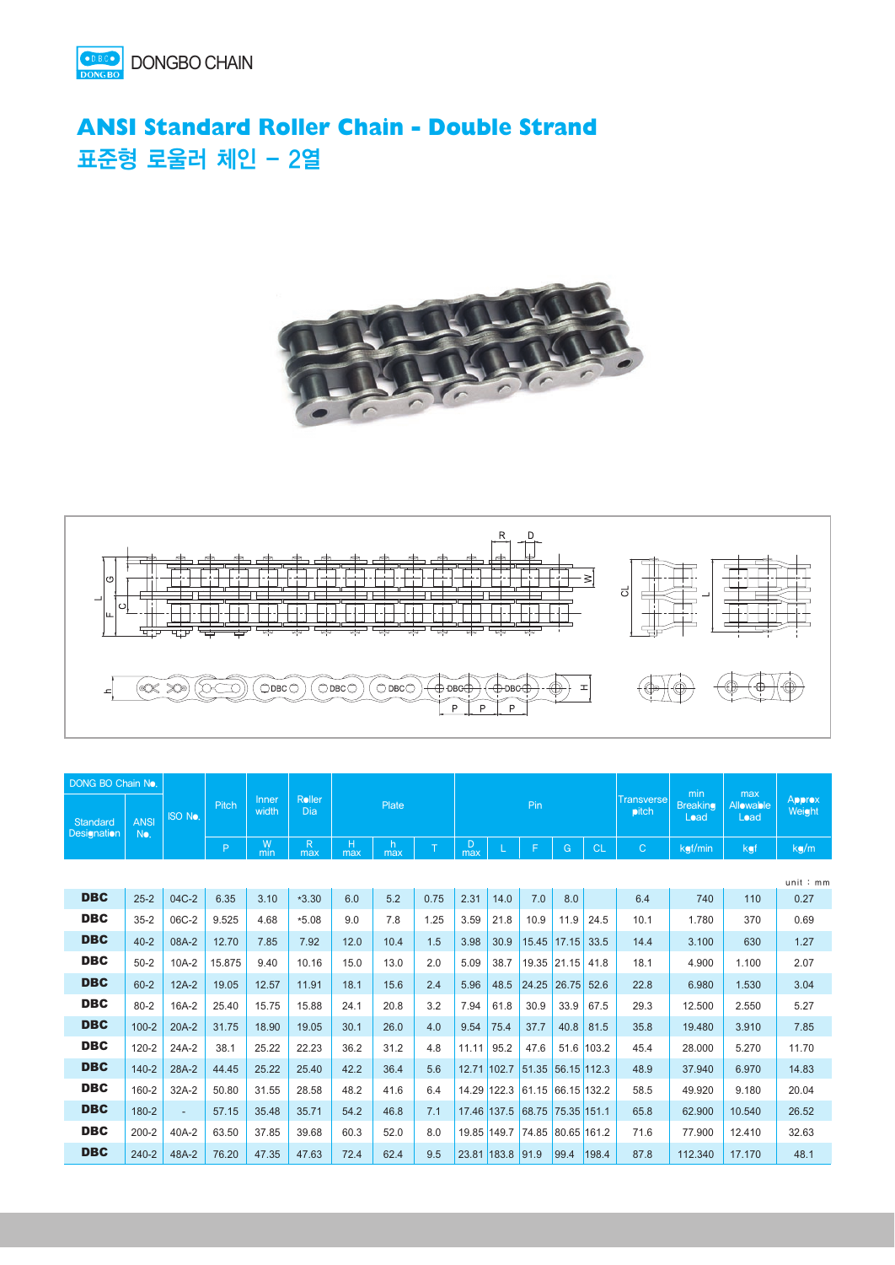

## **ANSI Standard Roller Chain - Double Strand**  표준형 로울러 체인 - 2열





| DONG BO Chain No.       |                    |                          |        |                |                     |          |          |      |             |                  |                   |             |            |                               |                         | min               | max                     |  |
|-------------------------|--------------------|--------------------------|--------|----------------|---------------------|----------|----------|------|-------------|------------------|-------------------|-------------|------------|-------------------------------|-------------------------|-------------------|-------------------------|--|
| Standard<br>Designation | <b>ANSI</b><br>No. | <b>ISO No.</b>           | Pitch  | Inner<br>width | Roller<br>Dia       | Plate    |          |      |             |                  | Pin               |             |            | <b>Transverse</b><br>$p$ itch | <b>Breaking</b><br>Load | Allowable<br>Load | <b>Approx</b><br>Weight |  |
|                         |                    |                          | P.     | W<br>min       | $\mathsf{R}$<br>max | Н<br>max | h<br>max | T    | D<br>max    |                  | F                 | G           | <b>CL</b>  | $\mathsf{C}$                  | kgf/min                 | kgf               | kg/m                    |  |
| unit:mm                 |                    |                          |        |                |                     |          |          |      |             |                  |                   |             |            |                               |                         |                   |                         |  |
| <b>DBC</b>              | $25 - 2$           | 04C-2                    | 6.35   | 3.10           | $*3.30$             | 6.0      | 5.2      | 0.75 | 2.31        | 14.0             | 7.0               | 8.0         |            | 6.4                           | 740                     | 110               | 0.27                    |  |
| <b>DBC</b>              | $35 - 2$           | 06C-2                    | 9.525  | 4.68           | $*5.08$             | 9.0      | 7.8      | 1.25 | 3.59        | 21.8             | 10.9              | 11.9        | 24.5       | 10.1                          | 1.780                   | 370               | 0.69                    |  |
| <b>DBC</b>              | $40 - 2$           | 08A-2                    | 12.70  | 7.85           | 7.92                | 12.0     | 10.4     | 1.5  | 3.98        | 30.9             | 15.45             | 17.15       | 33.5       | 14.4                          | 3.100                   | 630               | 1.27                    |  |
| <b>DBC</b>              | $50 - 2$           | $10A-2$                  | 15.875 | 9.40           | 10.16               | 15.0     | 13.0     | 2.0  | 5.09        | 38.7             | 19.35             | 21.15       | 41.8       | 18.1                          | 4.900                   | 1.100             | 2.07                    |  |
| <b>DBC</b>              | $60 - 2$           | $12A-2$                  | 19.05  | 12.57          | 11.91               | 18.1     | 15.6     | 2.4  | 5.96        | 48.5             | 24.25             | 26.75       | 52.6       | 22.8                          | 6.980                   | 1.530             | 3.04                    |  |
| <b>DBC</b>              | $80 - 2$           | 16A-2                    | 25.40  | 15.75          | 15.88               | 24.1     | 20.8     | 3.2  | 7.94        | 61.8             | 30.9              | 33.9        | 67.5       | 29.3                          | 12.500                  | 2.550             | 5.27                    |  |
| <b>DBC</b>              | $100 - 2$          | $20A-2$                  | 31.75  | 18.90          | 19.05               | 30.1     | 26.0     | 4.0  | 9.54        | 75.4             | 37.7              | 40.8        | 81.5       | 35.8                          | 19.480                  | 3.910             | 7.85                    |  |
| <b>DBC</b>              | $120 - 2$          | 24A-2                    | 38.1   | 25.22          | 22.23               | 36.2     | 31.2     | 4.8  | 11.11       | 95.2             | 47.6              |             | 51.6 103.2 | 45.4                          | 28.000                  | 5.270             | 11.70                   |  |
| <b>DBC</b>              | $140 - 2$          | 28A-2                    | 44.45  | 25.22          | 25.40               | 42.2     | 36.4     | 5.6  | 12.71 102.7 |                  | 51.35             | 56.15 112.3 |            | 48.9                          | 37.940                  | 6.970             | 14.83                   |  |
| <b>DBC</b>              | 160-2              | $32A-2$                  | 50.80  | 31.55          | 28.58               | 48.2     | 41.6     | 6.4  |             | 14.29 122.3      | 61.15             | 66.15 132.2 |            | 58.5                          | 49.920                  | 9.180             | 20.04                   |  |
| <b>DBC</b>              | 180-2              | $\overline{\phantom{a}}$ | 57.15  | 35.48          | 35.71               | 54.2     | 46.8     | 7.1  | 17.46 137.5 |                  | 68.75 75.35 151.1 |             |            | 65.8                          | 62.900                  | 10.540            | 26.52                   |  |
| <b>DBC</b>              | $200 - 2$          | 40A-2                    | 63.50  | 37.85          | 39.68               | 60.3     | 52.0     | 8.0  | 19.85 149.7 |                  | 74.85             | 80.65 161.2 |            | 71.6                          | 77.900                  | 12.410            | 32.63                   |  |
| <b>DBC</b>              | $240 - 2$          | 48A-2                    | 76.20  | 47.35          | 47.63               | 72.4     | 62.4     | 9.5  |             | 23.81 183.8 91.9 |                   | 99.4        | 198.4      | 87.8                          | 112.340                 | 17.170            | 48.1                    |  |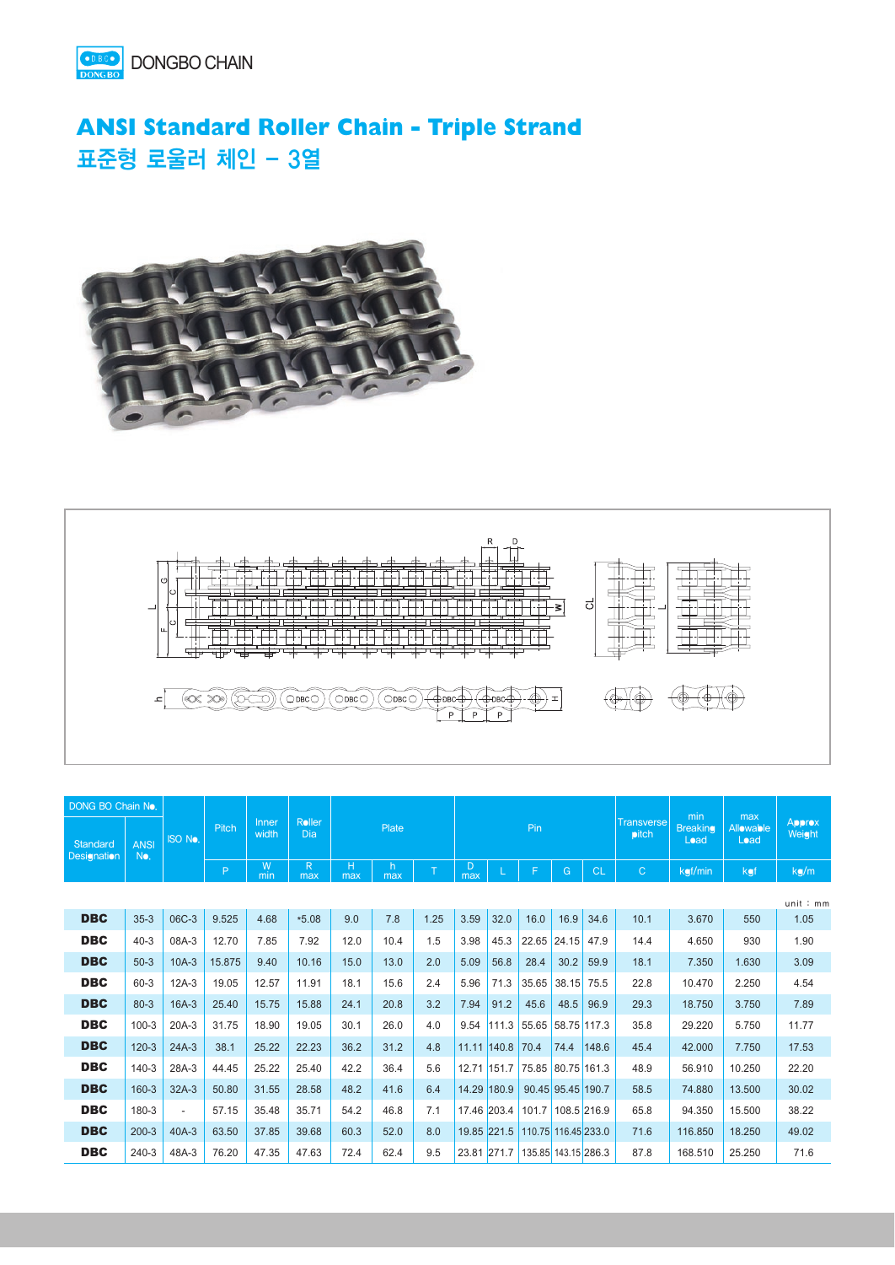

## **ANSI Standard Roller Chain - Triple Strand**  표준형 로울러 체인 - 3열





| DONG BO Chain No.       |                    |                         |        |                |               |          |           |      |          |             |                     |                     |           |                                   |                         |                          |                         |  | min | max |  |
|-------------------------|--------------------|-------------------------|--------|----------------|---------------|----------|-----------|------|----------|-------------|---------------------|---------------------|-----------|-----------------------------------|-------------------------|--------------------------|-------------------------|--|-----|-----|--|
| Standard<br>Designation | <b>ANSI</b><br>No. | Pitch<br><b>ISO No.</b> |        | Inner<br>width | Roller<br>Dia | Plate    |           |      |          |             | Pin                 |                     |           | <b>Transverse</b><br><b>pitch</b> | <b>Breaking</b><br>Load | <b>Allowable</b><br>Load | <b>Approx</b><br>Weight |  |     |     |  |
|                         |                    |                         | P      | W<br>min       | R<br>max      | н<br>max | h.<br>max | T    | D<br>max |             | F                   | G                   | <b>CL</b> | $\mathsf{C}$                      | kgf/min                 | kgf                      | kg/m                    |  |     |     |  |
|                         |                    |                         |        |                |               |          |           |      |          |             |                     |                     |           |                                   |                         |                          | unit:mm                 |  |     |     |  |
| <b>DBC</b>              | $35-3$             | 06C-3                   | 9.525  | 4.68           | $*5.08$       | 9.0      | 7.8       | 1.25 | 3.59     | 32.0        | 16.0                | 16.9                | 34.6      | 10.1                              | 3.670                   | 550                      | 1.05                    |  |     |     |  |
| <b>DBC</b>              | $40 - 3$           | 08A-3                   | 12.70  | 7.85           | 7.92          | 12.0     | 10.4      | 1.5  | 3.98     | 45.3        | 22.65               | 24.15               | 47.9      | 14.4                              | 4.650                   | 930                      | 1.90                    |  |     |     |  |
| <b>DBC</b>              | $50-3$             | $10A-3$                 | 15.875 | 9.40           | 10.16         | 15.0     | 13.0      | 2.0  | 5.09     | 56.8        | 28.4                | 30.2                | 59.9      | 18.1                              | 7.350                   | 1.630                    | 3.09                    |  |     |     |  |
| <b>DBC</b>              | $60 - 3$           | $12A-3$                 | 19.05  | 12.57          | 11.91         | 18.1     | 15.6      | 2.4  | 5.96     | 71.3        | 35.65               | 38.15               | 75.5      | 22.8                              | 10.470                  | 2.250                    | 4.54                    |  |     |     |  |
| <b>DBC</b>              | $80 - 3$           | $16A-3$                 | 25.40  | 15.75          | 15.88         | 24.1     | 20.8      | 3.2  | 7.94     | 91.2        | 45.6                | 48.5                | 96.9      | 29.3                              | 18.750                  | 3.750                    | 7.89                    |  |     |     |  |
| <b>DBC</b>              | $100 - 3$          | $20A-3$                 | 31.75  | 18.90          | 19.05         | 30.1     | 26.0      | 4.0  | 9.54     | 111.3       | 55.65               | 58.75 117.3         |           | 35.8                              | 29.220                  | 5.750                    | 11.77                   |  |     |     |  |
| <b>DBC</b>              | $120-3$            | $24A-3$                 | 38.1   | 25.22          | 22.23         | 36.2     | 31.2      | 4.8  |          | 11.11 140.8 | 70.4                | 74.4                | 148.6     | 45.4                              | 42.000                  | 7.750                    | 17.53                   |  |     |     |  |
| <b>DBC</b>              | $140 - 3$          | 28A-3                   | 44.45  | 25.22          | 25.40         | 42.2     | 36.4      | 5.6  |          | 12.71 151.7 | 75.85               | 80.75 161.3         |           | 48.9                              | 56.910                  | 10.250                   | 22.20                   |  |     |     |  |
| <b>DBC</b>              | $160 - 3$          | $32A-3$                 | 50.80  | 31.55          | 28.58         | 48.2     | 41.6      | 6.4  |          | 14.29 180.9 |                     | 90.45 95.45 190.7   |           | 58.5                              | 74.880                  | 13.500                   | 30.02                   |  |     |     |  |
| <b>DBC</b>              | 180-3              | $\overline{a}$          | 57.15  | 35.48          | 35.71         | 54.2     | 46.8      | 7.1  |          | 17.46 203.4 | 101.7               | 108.5 216.9         |           | 65.8                              | 94.350                  | 15.500                   | 38.22                   |  |     |     |  |
| <b>DBC</b>              | $200-3$            | $40A-3$                 | 63.50  | 37.85          | 39.68         | 60.3     | 52.0      | 8.0  |          | 19.85 221.5 |                     | 110.75 116.45 233.0 |           | 71.6                              | 116.850                 | 18.250                   | 49.02                   |  |     |     |  |
| <b>DBC</b>              | $240-3$            | 48A-3                   | 76.20  | 47.35          | 47.63         | 72.4     | 62.4      | 9.5  |          | 23.81 271.7 | 135.85 143.15 286.3 |                     |           | 87.8                              | 168.510                 | 25.250                   | 71.6                    |  |     |     |  |